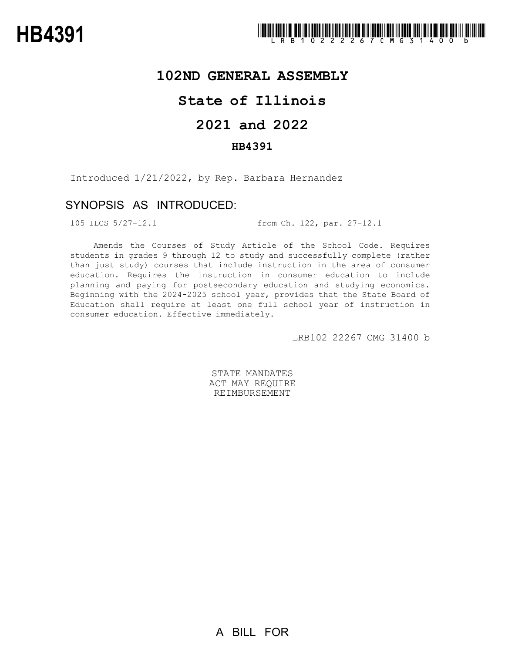### **102ND GENERAL ASSEMBLY**

# **State of Illinois**

# **2021 and 2022**

### **HB4391**

Introduced 1/21/2022, by Rep. Barbara Hernandez

## SYNOPSIS AS INTRODUCED:

105 ILCS 5/27-12.1 from Ch. 122, par. 27-12.1

Amends the Courses of Study Article of the School Code. Requires students in grades 9 through 12 to study and successfully complete (rather than just study) courses that include instruction in the area of consumer education. Requires the instruction in consumer education to include planning and paying for postsecondary education and studying economics. Beginning with the 2024-2025 school year, provides that the State Board of Education shall require at least one full school year of instruction in consumer education. Effective immediately.

LRB102 22267 CMG 31400 b

STATE MANDATES ACT MAY REQUIRE REIMBURSEMENT

A BILL FOR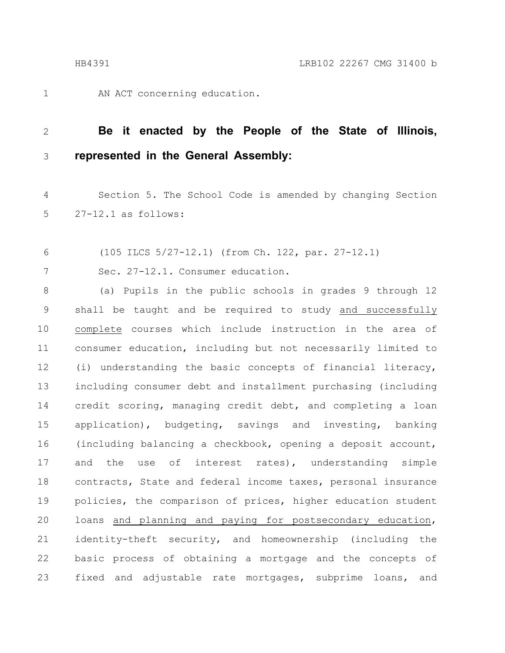1

AN ACT concerning education.

#### **Be it enacted by the People of the State of Illinois, represented in the General Assembly:** 2 3

Section 5. The School Code is amended by changing Section 27-12.1 as follows: 4 5

(105 ILCS 5/27-12.1) (from Ch. 122, par. 27-12.1) 6

Sec. 27-12.1. Consumer education. 7

(a) Pupils in the public schools in grades 9 through 12 shall be taught and be required to study and successfully complete courses which include instruction in the area of consumer education, including but not necessarily limited to (i) understanding the basic concepts of financial literacy, including consumer debt and installment purchasing (including credit scoring, managing credit debt, and completing a loan application), budgeting, savings and investing, banking (including balancing a checkbook, opening a deposit account, and the use of interest rates), understanding simple contracts, State and federal income taxes, personal insurance policies, the comparison of prices, higher education student loans and planning and paying for postsecondary education, identity-theft security, and homeownership (including the basic process of obtaining a mortgage and the concepts of fixed and adjustable rate mortgages, subprime loans, and 8 9 10 11 12 13 14 15 16 17 18 19 20 21 22 23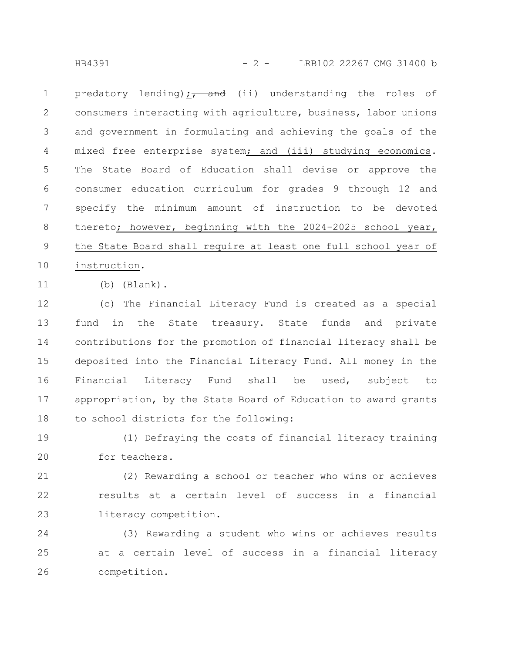HB4391 - 2 - LRB102 22267 CMG 31400 b

predatory lending)  $\frac{1}{17}$  and (ii) understanding the roles of consumers interacting with agriculture, business, labor unions and government in formulating and achieving the goals of the mixed free enterprise system; and (iii) studying economics. The State Board of Education shall devise or approve the consumer education curriculum for grades 9 through 12 and specify the minimum amount of instruction to be devoted thereto; however, beginning with the 2024-2025 school year, the State Board shall require at least one full school year of instruction. 1 2 3 4 5 6 7 8 9 10

11

(b) (Blank).

(c) The Financial Literacy Fund is created as a special fund in the State treasury. State funds and private contributions for the promotion of financial literacy shall be deposited into the Financial Literacy Fund. All money in the Financial Literacy Fund shall be used, subject to appropriation, by the State Board of Education to award grants to school districts for the following: 12 13 14 15 16 17 18

(1) Defraying the costs of financial literacy training for teachers. 19 20

(2) Rewarding a school or teacher who wins or achieves results at a certain level of success in a financial literacy competition. 21 22 23

(3) Rewarding a student who wins or achieves results at a certain level of success in a financial literacy competition. 24 25 26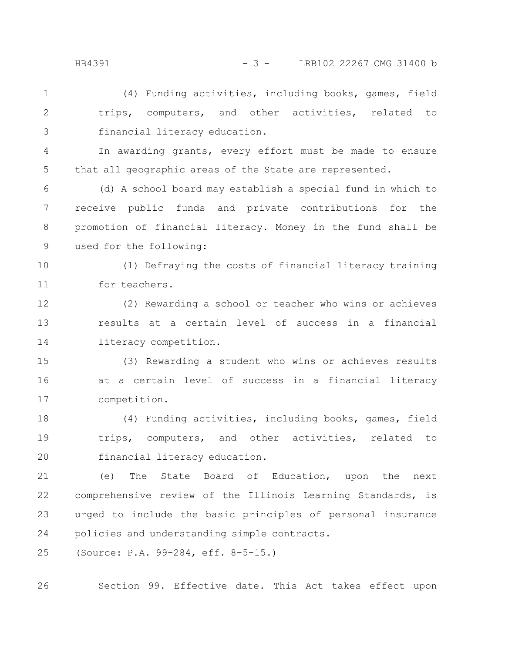HB4391 - 3 - LRB102 22267 CMG 31400 b

(4) Funding activities, including books, games, field trips, computers, and other activities, related to financial literacy education. 1 2 3

In awarding grants, every effort must be made to ensure that all geographic areas of the State are represented. 4 5

(d) A school board may establish a special fund in which to receive public funds and private contributions for the promotion of financial literacy. Money in the fund shall be used for the following: 6 7 8 9

(1) Defraying the costs of financial literacy training for teachers. 10 11

(2) Rewarding a school or teacher who wins or achieves results at a certain level of success in a financial literacy competition. 12 13 14

(3) Rewarding a student who wins or achieves results at a certain level of success in a financial literacy competition. 15 16 17

(4) Funding activities, including books, games, field trips, computers, and other activities, related to financial literacy education. 18 19 20

(e) The State Board of Education, upon the next comprehensive review of the Illinois Learning Standards, is urged to include the basic principles of personal insurance policies and understanding simple contracts. 21 22 23 24

(Source: P.A. 99-284, eff. 8-5-15.) 25

Section 99. Effective date. This Act takes effect upon 26